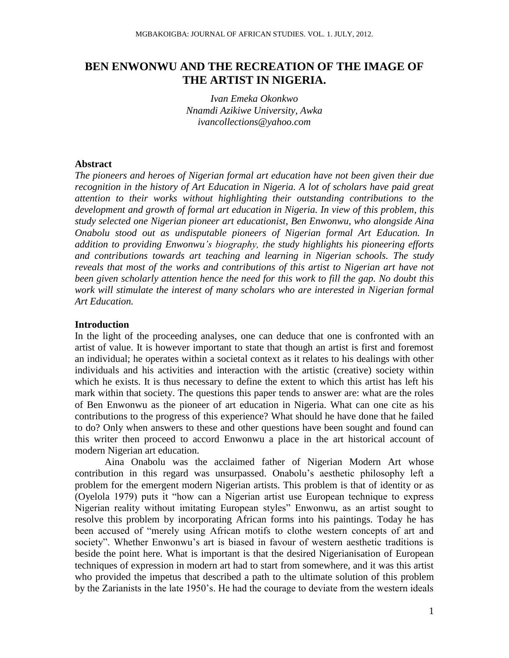# **BEN ENWONWU AND THE RECREATION OF THE IMAGE OF THE ARTIST IN NIGERIA.**

*Ivan Emeka Okonkwo Nnamdi Azikiwe University, Awka [ivancollections@yahoo.com](mailto:ivancollections@yahoo.com)*

### **Abstract**

*The pioneers and heroes of Nigerian formal art education have not been given their due recognition in the history of Art Education in Nigeria. A lot of scholars have paid great attention to their works without highlighting their outstanding contributions to the development and growth of formal art education in Nigeria. In view of this problem, this study selected one Nigerian pioneer art educationist, Ben Enwonwu, who alongside Aina Onabolu stood out as undisputable pioneers of Nigerian formal Art Education. In addition to providing Enwonwu's biography, the study highlights his pioneering efforts and contributions towards art teaching and learning in Nigerian schools. The study reveals that most of the works and contributions of this artist to Nigerian art have not been given scholarly attention hence the need for this work to fill the gap. No doubt this work will stimulate the interest of many scholars who are interested in Nigerian formal Art Education.*

# **Introduction**

In the light of the proceeding analyses, one can deduce that one is confronted with an artist of value. It is however important to state that though an artist is first and foremost an individual; he operates within a societal context as it relates to his dealings with other individuals and his activities and interaction with the artistic (creative) society within which he exists. It is thus necessary to define the extent to which this artist has left his mark within that society. The questions this paper tends to answer are: what are the roles of Ben Enwonwu as the pioneer of art education in Nigeria. What can one cite as his contributions to the progress of this experience? What should he have done that he failed to do? Only when answers to these and other questions have been sought and found can this writer then proceed to accord Enwonwu a place in the art historical account of modern Nigerian art education.

Aina Onabolu was the acclaimed father of Nigerian Modern Art whose contribution in this regard was unsurpassed. Onabolu"s aesthetic philosophy left a problem for the emergent modern Nigerian artists. This problem is that of identity or as (Oyelola 1979) puts it "how can a Nigerian artist use European technique to express Nigerian reality without imitating European styles" Enwonwu, as an artist sought to resolve this problem by incorporating African forms into his paintings. Today he has been accused of "merely using African motifs to clothe western concepts of art and society". Whether Enwonwu's art is biased in favour of western aesthetic traditions is beside the point here. What is important is that the desired Nigerianisation of European techniques of expression in modern art had to start from somewhere, and it was this artist who provided the impetus that described a path to the ultimate solution of this problem by the Zarianists in the late 1950"s. He had the courage to deviate from the western ideals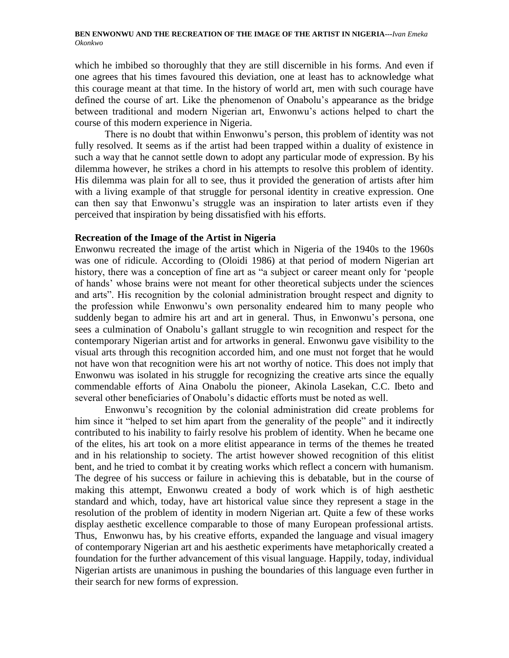which he imbibed so thoroughly that they are still discernible in his forms. And even if one agrees that his times favoured this deviation, one at least has to acknowledge what this courage meant at that time. In the history of world art, men with such courage have defined the course of art. Like the phenomenon of Onabolu"s appearance as the bridge between traditional and modern Nigerian art, Enwonwu"s actions helped to chart the course of this modern experience in Nigeria.

There is no doubt that within Enwonwu"s person, this problem of identity was not fully resolved. It seems as if the artist had been trapped within a duality of existence in such a way that he cannot settle down to adopt any particular mode of expression. By his dilemma however, he strikes a chord in his attempts to resolve this problem of identity. His dilemma was plain for all to see, thus it provided the generation of artists after him with a living example of that struggle for personal identity in creative expression. One can then say that Enwonwu"s struggle was an inspiration to later artists even if they perceived that inspiration by being dissatisfied with his efforts.

### **Recreation of the Image of the Artist in Nigeria**

Enwonwu recreated the image of the artist which in Nigeria of the 1940s to the 1960s was one of ridicule. According to (Oloidi 1986) at that period of modern Nigerian art history, there was a conception of fine art as "a subject or career meant only for "people of hands" whose brains were not meant for other theoretical subjects under the sciences and arts". His recognition by the colonial administration brought respect and dignity to the profession while Enwonwu"s own personality endeared him to many people who suddenly began to admire his art and art in general. Thus, in Enwonwu's persona, one sees a culmination of Onabolu"s gallant struggle to win recognition and respect for the contemporary Nigerian artist and for artworks in general. Enwonwu gave visibility to the visual arts through this recognition accorded him, and one must not forget that he would not have won that recognition were his art not worthy of notice. This does not imply that Enwonwu was isolated in his struggle for recognizing the creative arts since the equally commendable efforts of Aina Onabolu the pioneer, Akinola Lasekan, C.C. Ibeto and several other beneficiaries of Onabolu"s didactic efforts must be noted as well.

Enwonwu"s recognition by the colonial administration did create problems for him since it "helped to set him apart from the generality of the people" and it indirectly contributed to his inability to fairly resolve his problem of identity. When he became one of the elites, his art took on a more elitist appearance in terms of the themes he treated and in his relationship to society. The artist however showed recognition of this elitist bent, and he tried to combat it by creating works which reflect a concern with humanism. The degree of his success or failure in achieving this is debatable, but in the course of making this attempt, Enwonwu created a body of work which is of high aesthetic standard and which, today, have art historical value since they represent a stage in the resolution of the problem of identity in modern Nigerian art. Quite a few of these works display aesthetic excellence comparable to those of many European professional artists. Thus, Enwonwu has, by his creative efforts, expanded the language and visual imagery of contemporary Nigerian art and his aesthetic experiments have metaphorically created a foundation for the further advancement of this visual language. Happily, today, individual Nigerian artists are unanimous in pushing the boundaries of this language even further in their search for new forms of expression.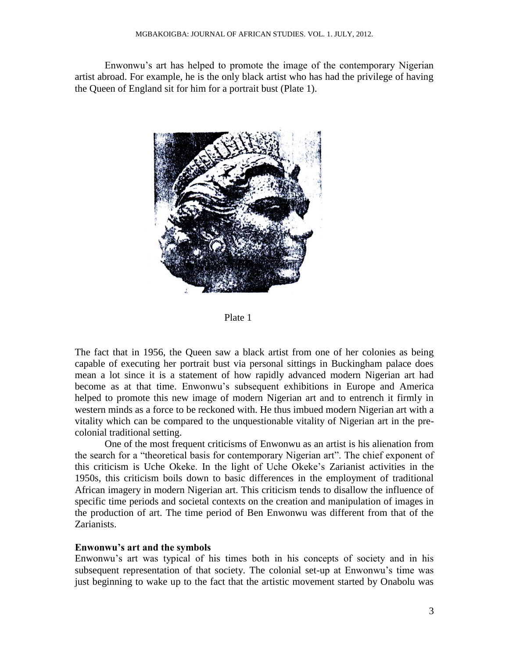Enwonwu"s art has helped to promote the image of the contemporary Nigerian artist abroad. For example, he is the only black artist who has had the privilege of having the Queen of England sit for him for a portrait bust (Plate 1).



Plate 1

The fact that in 1956, the Queen saw a black artist from one of her colonies as being capable of executing her portrait bust via personal sittings in Buckingham palace does mean a lot since it is a statement of how rapidly advanced modern Nigerian art had become as at that time. Enwonwu"s subsequent exhibitions in Europe and America helped to promote this new image of modern Nigerian art and to entrench it firmly in western minds as a force to be reckoned with. He thus imbued modern Nigerian art with a vitality which can be compared to the unquestionable vitality of Nigerian art in the precolonial traditional setting.

One of the most frequent criticisms of Enwonwu as an artist is his alienation from the search for a "theoretical basis for contemporary Nigerian art". The chief exponent of this criticism is Uche Okeke. In the light of Uche Okeke"s Zarianist activities in the 1950s, this criticism boils down to basic differences in the employment of traditional African imagery in modern Nigerian art. This criticism tends to disallow the influence of specific time periods and societal contexts on the creation and manipulation of images in the production of art. The time period of Ben Enwonwu was different from that of the Zarianists.

### **Enwonwu's art and the symbols**

Enwonwu's art was typical of his times both in his concepts of society and in his subsequent representation of that society. The colonial set-up at Enwonwu"s time was just beginning to wake up to the fact that the artistic movement started by Onabolu was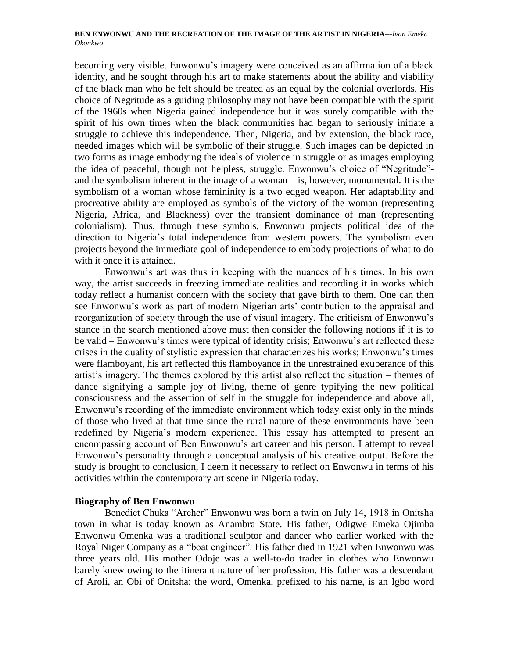becoming very visible. Enwonwu"s imagery were conceived as an affirmation of a black identity, and he sought through his art to make statements about the ability and viability of the black man who he felt should be treated as an equal by the colonial overlords. His choice of Negritude as a guiding philosophy may not have been compatible with the spirit of the 1960s when Nigeria gained independence but it was surely compatible with the spirit of his own times when the black communities had began to seriously initiate a struggle to achieve this independence. Then, Nigeria, and by extension, the black race, needed images which will be symbolic of their struggle. Such images can be depicted in two forms as image embodying the ideals of violence in struggle or as images employing the idea of peaceful, though not helpless, struggle. Enwonwu"s choice of "Negritude" and the symbolism inherent in the image of a woman – is, however, monumental. It is the symbolism of a woman whose femininity is a two edged weapon. Her adaptability and procreative ability are employed as symbols of the victory of the woman (representing Nigeria, Africa, and Blackness) over the transient dominance of man (representing colonialism). Thus, through these symbols, Enwonwu projects political idea of the direction to Nigeria's total independence from western powers. The symbolism even projects beyond the immediate goal of independence to embody projections of what to do with it once it is attained.

Enwonwu's art was thus in keeping with the nuances of his times. In his own way, the artist succeeds in freezing immediate realities and recording it in works which today reflect a humanist concern with the society that gave birth to them. One can then see Enwonwu's work as part of modern Nigerian arts' contribution to the appraisal and reorganization of society through the use of visual imagery. The criticism of Enwonwu"s stance in the search mentioned above must then consider the following notions if it is to be valid – Enwonwu"s times were typical of identity crisis; Enwonwu"s art reflected these crises in the duality of stylistic expression that characterizes his works; Enwonwu"s times were flamboyant, his art reflected this flamboyance in the unrestrained exuberance of this artist"s imagery. The themes explored by this artist also reflect the situation – themes of dance signifying a sample joy of living, theme of genre typifying the new political consciousness and the assertion of self in the struggle for independence and above all, Enwonwu"s recording of the immediate environment which today exist only in the minds of those who lived at that time since the rural nature of these environments have been redefined by Nigeria's modern experience. This essay has attempted to present an encompassing account of Ben Enwonwu"s art career and his person. I attempt to reveal Enwonwu"s personality through a conceptual analysis of his creative output. Before the study is brought to conclusion, I deem it necessary to reflect on Enwonwu in terms of his activities within the contemporary art scene in Nigeria today.

### **Biography of Ben Enwonwu**

Benedict Chuka "Archer" Enwonwu was born a twin on July 14, 1918 in Onitsha town in what is today known as Anambra State. His father, Odigwe Emeka Ojimba Enwonwu Omenka was a traditional sculptor and dancer who earlier worked with the Royal Niger Company as a "boat engineer". His father died in 1921 when Enwonwu was three years old. His mother Odoje was a well-to-do trader in clothes who Enwonwu barely knew owing to the itinerant nature of her profession. His father was a descendant of Aroli, an Obi of Onitsha; the word, Omenka, prefixed to his name, is an Igbo word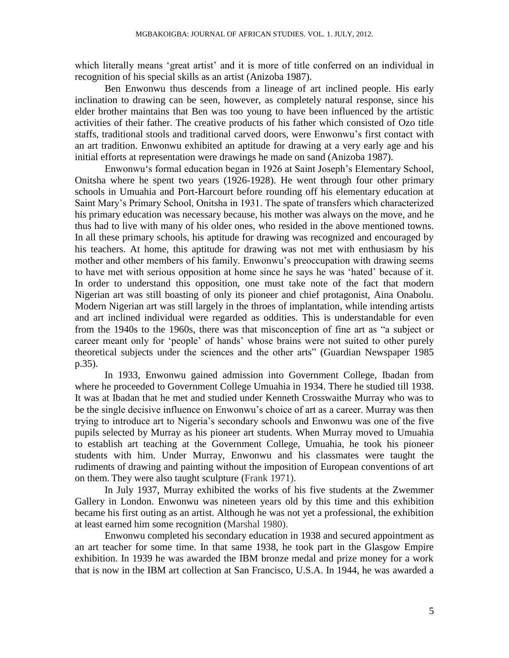which literally means 'great artist' and it is more of title conferred on an individual in recognition of his special skills as an artist (Anizoba 1987).

Ben Enwonwu thus descends from a lineage of art inclined people. His early inclination to drawing can be seen, however, as completely natural response, since his elder brother maintains that Ben was too young to have been influenced by the artistic activities of their father. The creative products of his father which consisted of Ozo title staffs, traditional stools and traditional carved doors, were Enwonwu"s first contact with an art tradition. Enwonwu exhibited an aptitude for drawing at a very early age and his initial efforts at representation were drawings he made on sand (Anizoba 1987).

Enwonwu"s formal education began in 1926 at Saint Joseph"s Elementary School, Onitsha where he spent two years (1926-1928). He went through four other primary schools in Umuahia and Port-Harcourt before rounding off his elementary education at Saint Mary"s Primary School, Onitsha in 1931. The spate of transfers which characterized his primary education was necessary because, his mother was always on the move, and he thus had to live with many of his older ones, who resided in the above mentioned towns. In all these primary schools, his aptitude for drawing was recognized and encouraged by his teachers. At home, this aptitude for drawing was not met with enthusiasm by his mother and other members of his family. Enwonwu"s preoccupation with drawing seems to have met with serious opposition at home since he says he was "hated" because of it. In order to understand this opposition, one must take note of the fact that modern Nigerian art was still boasting of only its pioneer and chief protagonist, Aina Onabolu. Modern Nigerian art was still largely in the throes of implantation, while intending artists and art inclined individual were regarded as oddities. This is understandable for even from the 1940s to the 1960s, there was that misconception of fine art as "a subject or career meant only for "people" of hands" whose brains were not suited to other purely theoretical subjects under the sciences and the other arts" (Guardian Newspaper 1985 p.35).

In 1933, Enwonwu gained admission into Government College, Ibadan from where he proceeded to Government College Umuahia in 1934. There he studied till 1938. It was at Ibadan that he met and studied under Kenneth Crosswaithe Murray who was to be the single decisive influence on Enwonwu"s choice of art as a career. Murray was then trying to introduce art to Nigeria"s secondary schools and Enwonwu was one of the five pupils selected by Murray as his pioneer art students. When Murray moved to Umuahia to establish art teaching at the Government College, Umuahia, he took his pioneer students with him. Under Murray, Enwonwu and his classmates were taught the rudiments of drawing and painting without the imposition of European conventions of art on them. They were also taught sculpture (Frank 1971).

In July 1937, Murray exhibited the works of his five students at the Zwemmer Gallery in London. Enwonwu was nineteen years old by this time and this exhibition became his first outing as an artist. Although he was not yet a professional, the exhibition at least earned him some recognition (Marshal 1980).

Enwonwu completed his secondary education in 1938 and secured appointment as an art teacher for some time. In that same 1938, he took part in the Glasgow Empire exhibition. In 1939 he was awarded the IBM bronze medal and prize money for a work that is now in the IBM art collection at San Francisco, U.S.A. In 1944, he was awarded a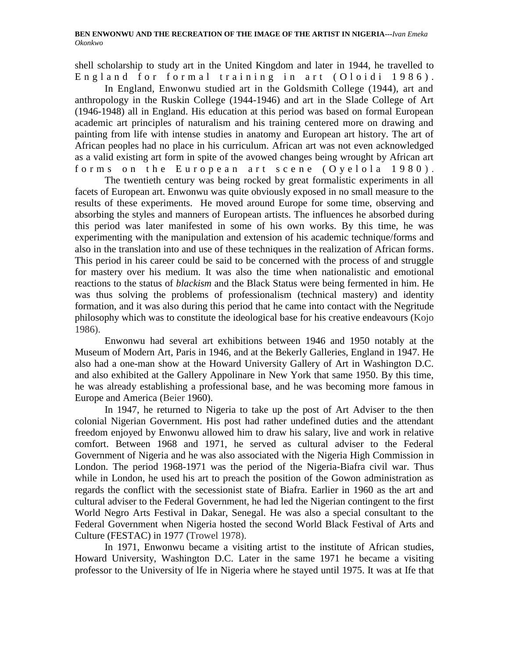shell scholarship to study art in the United Kingdom and later in 1944, he travelled to England for formal training in art (Oloidi 1986).

In England, Enwonwu studied art in the Goldsmith College (1944), art and anthropology in the Ruskin College (1944-1946) and art in the Slade College of Art (1946-1948) all in England. His education at this period was based on formal European academic art principles of naturalism and his training centered more on drawing and painting from life with intense studies in anatomy and European art history. The art of African peoples had no place in his curriculum. African art was not even acknowledged as a valid existing art form in spite of the avowed changes being wrought by African art forms on the European art scene (Oyelola 1980).

The twentieth century was being rocked by great formalistic experiments in all facets of European art. Enwonwu was quite obviously exposed in no small measure to the results of these experiments. He moved around Europe for some time, observing and absorbing the styles and manners of European artists. The influences he absorbed during this period was later manifested in some of his own works. By this time, he was experimenting with the manipulation and extension of his academic technique/forms and also in the translation into and use of these techniques in the realization of African forms. This period in his career could be said to be concerned with the process of and struggle for mastery over his medium. It was also the time when nationalistic and emotional reactions to the status of *blackism* and the Black Status were being fermented in him. He was thus solving the problems of professionalism (technical mastery) and identity formation, and it was also during this period that he came into contact with the Negritude philosophy which was to constitute the ideological base for his creative endeavours (Kojo 1986).

Enwonwu had several art exhibitions between 1946 and 1950 notably at the Museum of Modern Art, Paris in 1946, and at the Bekerly Galleries, England in 1947. He also had a one-man show at the Howard University Gallery of Art in Washington D.C. and also exhibited at the Gallery Appolinare in New York that same 1950. By this time, he was already establishing a professional base, and he was becoming more famous in Europe and America (Beier 1960).

In 1947, he returned to Nigeria to take up the post of Art Adviser to the then colonial Nigerian Government. His post had rather undefined duties and the attendant freedom enjoyed by Enwonwu allowed him to draw his salary, live and work in relative comfort. Between 1968 and 1971, he served as cultural adviser to the Federal Government of Nigeria and he was also associated with the Nigeria High Commission in London. The period 1968-1971 was the period of the Nigeria-Biafra civil war. Thus while in London, he used his art to preach the position of the Gowon administration as regards the conflict with the secessionist state of Biafra. Earlier in 1960 as the art and cultural adviser to the Federal Government, he had led the Nigerian contingent to the first World Negro Arts Festival in Dakar, Senegal. He was also a special consultant to the Federal Government when Nigeria hosted the second World Black Festival of Arts and Culture (FESTAC) in 1977 (Trowel 1978).

In 1971, Enwonwu became a visiting artist to the institute of African studies, Howard University, Washington D.C. Later in the same 1971 he became a visiting professor to the University of lfe in Nigeria where he stayed until 1975. It was at Ife that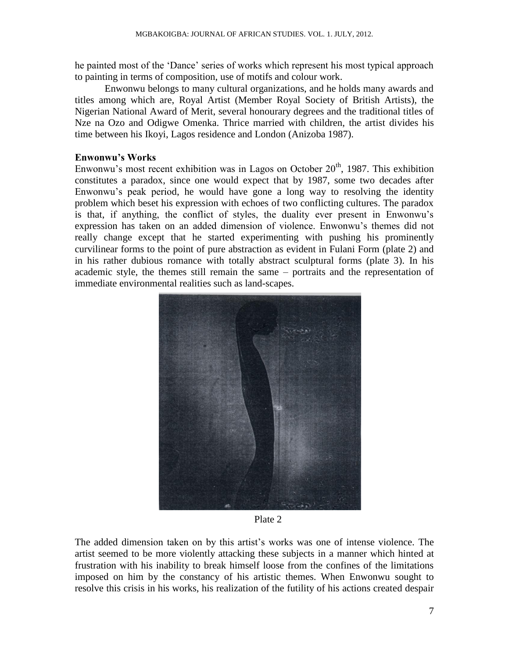he painted most of the "Dance" series of works which represent his most typical approach to painting in terms of composition, use of motifs and colour work.

Enwonwu belongs to many cultural organizations, and he holds many awards and titles among which are, Royal Artist (Member Royal Society of British Artists), the Nigerian National Award of Merit, several honourary degrees and the traditional titles of Nze na Ozo and Odigwe Omenka. Thrice married with children, the artist divides his time between his Ikoyi, Lagos residence and London (Anizoba 1987).

# **Enwonwu's Works**

Enwonwu's most recent exhibition was in Lagos on October  $20<sup>th</sup>$ , 1987. This exhibition constitutes a paradox, since one would expect that by 1987, some two decades after Enwonwu"s peak period, he would have gone a long way to resolving the identity problem which beset his expression with echoes of two conflicting cultures. The paradox is that, if anything, the conflict of styles, the duality ever present in Enwonwu"s expression has taken on an added dimension of violence. Enwonwu"s themes did not really change except that he started experimenting with pushing his prominently curvilinear forms to the point of pure abstraction as evident in Fulani Form (plate 2) and in his rather dubious romance with totally abstract sculptural forms (plate 3). In his academic style, the themes still remain the same – portraits and the representation of immediate environmental realities such as land-scapes.



Plate 2

The added dimension taken on by this artist"s works was one of intense violence. The artist seemed to be more violently attacking these subjects in a manner which hinted at frustration with his inability to break himself loose from the confines of the limitations imposed on him by the constancy of his artistic themes. When Enwonwu sought to resolve this crisis in his works, his realization of the futility of his actions created despair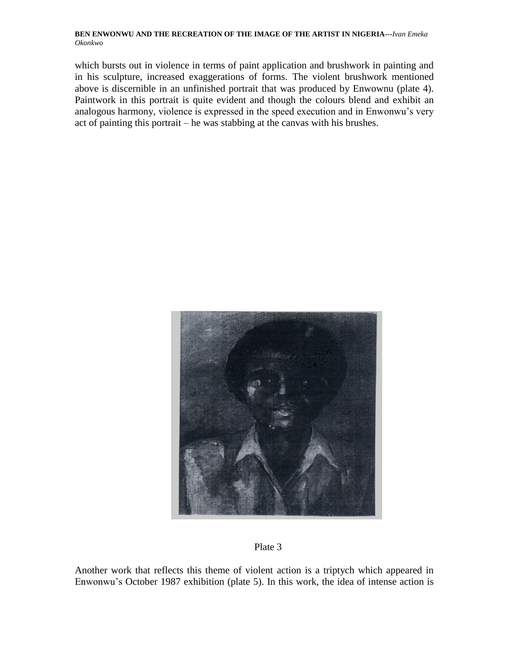which bursts out in violence in terms of paint application and brushwork in painting and in his sculpture, increased exaggerations of forms. The violent brushwork mentioned above is discernible in an unfinished portrait that was produced by Enwownu (plate 4). Paintwork in this portrait is quite evident and though the colours blend and exhibit an analogous harmony, violence is expressed in the speed execution and in Enwonwu"s very act of painting this portrait – he was stabbing at the canvas with his brushes.



Plate 3

Another work that reflects this theme of violent action is a triptych which appeared in Enwonwu"s October 1987 exhibition (plate 5). In this work, the idea of intense action is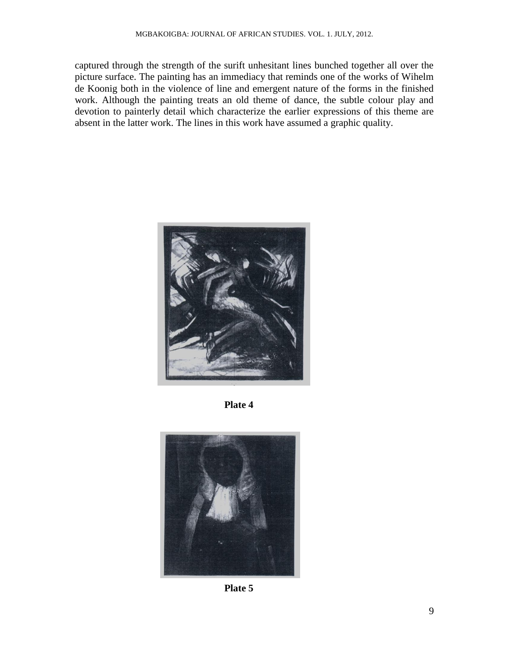captured through the strength of the surift unhesitant lines bunched together all over the picture surface. The painting has an immediacy that reminds one of the works of Wihelm de Koonig both in the violence of line and emergent nature of the forms in the finished work. Although the painting treats an old theme of dance, the subtle colour play and devotion to painterly detail which characterize the earlier expressions of this theme are absent in the latter work. The lines in this work have assumed a graphic quality.



**Plate 4**



**Plate 5**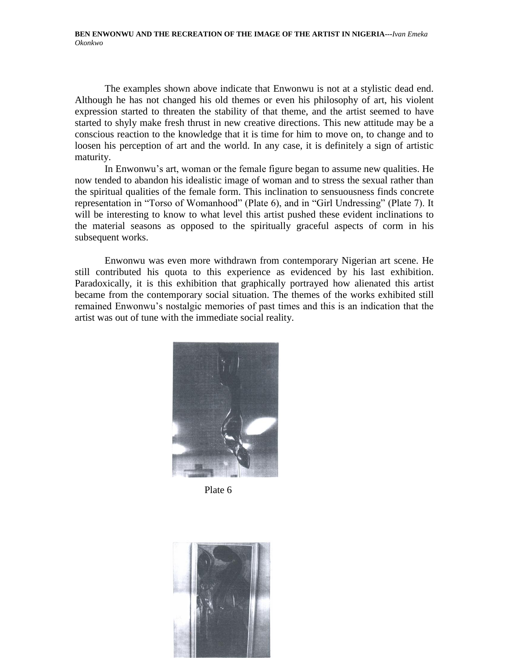The examples shown above indicate that Enwonwu is not at a stylistic dead end. Although he has not changed his old themes or even his philosophy of art, his violent expression started to threaten the stability of that theme, and the artist seemed to have started to shyly make fresh thrust in new creative directions. This new attitude may be a conscious reaction to the knowledge that it is time for him to move on, to change and to loosen his perception of art and the world. In any case, it is definitely a sign of artistic maturity.

In Enwonwu's art, woman or the female figure began to assume new qualities. He now tended to abandon his idealistic image of woman and to stress the sexual rather than the spiritual qualities of the female form. This inclination to sensuousness finds concrete representation in "Torso of Womanhood" (Plate 6), and in "Girl Undressing" (Plate 7). It will be interesting to know to what level this artist pushed these evident inclinations to the material seasons as opposed to the spiritually graceful aspects of corm in his subsequent works.

Enwonwu was even more withdrawn from contemporary Nigerian art scene. He still contributed his quota to this experience as evidenced by his last exhibition. Paradoxically, it is this exhibition that graphically portrayed how alienated this artist became from the contemporary social situation. The themes of the works exhibited still remained Enwonwu"s nostalgic memories of past times and this is an indication that the artist was out of tune with the immediate social reality.



Plate 6

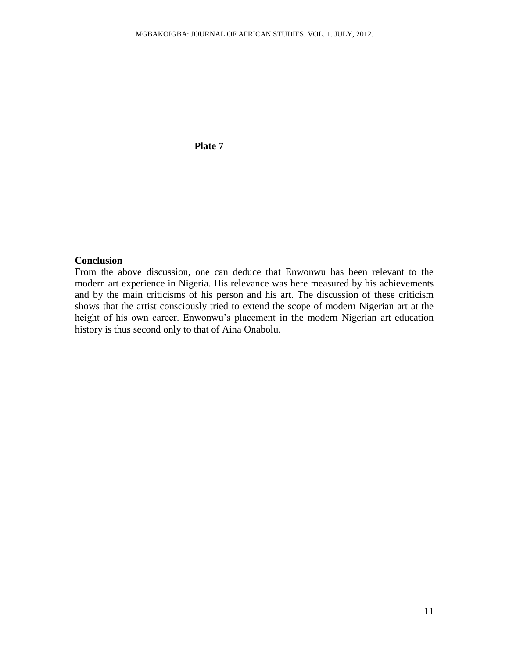# **Plate 7**

### **Conclusion**

From the above discussion, one can deduce that Enwonwu has been relevant to the modern art experience in Nigeria. His relevance was here measured by his achievements and by the main criticisms of his person and his art. The discussion of these criticism shows that the artist consciously tried to extend the scope of modern Nigerian art at the height of his own career. Enwonwu"s placement in the modern Nigerian art education history is thus second only to that of Aina Onabolu.